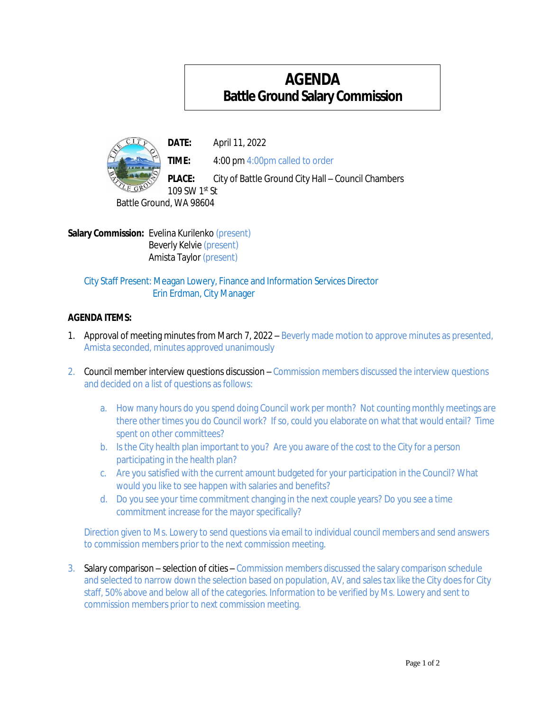## **AGENDA BattleGroundSalary Commission**



**DATE:** April 11, 2022

**TIME:** 4:00 pm 4:00pm called to order

**PLACE:** City of Battle Ground City Hall – Council Chambers

109 SW 1st St Battle Ground, WA 98604

**Salary Commission:** Evelina Kurilenko (present) Beverly Kelvie (present) Amista Taylor (present)

City Staff Present: Meagan Lowery, Finance and Information Services Director Erin Erdman, City Manager

## **AGENDA ITEMS:**

- 1. Approval of meeting minutes from March 7, 2022 Beverly made motion to approve minutes as presented, Amista seconded, minutes approved unanimously
- 2. Council member interview questions discussion Commission members discussed the interview questions and decided on a list of questions as follows:
	- a. How many hours do you spend doing Council work per month? Not counting monthly meetings are there other times you do Council work? If so, could you elaborate on what that would entail? Time spent on other committees?
	- b. Isthe City health plan important to you? Are you aware of the cost to the City for a person participating in the health plan?
	- c. Are you satisfied with the current amount budgeted for your participation in the Council? What would you like to see happen with salaries and benefits?
	- d. Do you see your time commitment changing in the next couple years? Do you see a time commitment increase for the mayor specifically?

Direction given to Ms. Lowery to send questions via email to individual council members and send answers to commission members prior to the next commission meeting.

3. Salary comparison – selection of cities – Commission members discussed the salary comparison schedule and selected to narrow down the selection based on population, AV, and sales tax like the City does for City staff, 50% above and below all of the categories. Information to be verified by Ms. Lowery and sent to commission members prior to next commission meeting.